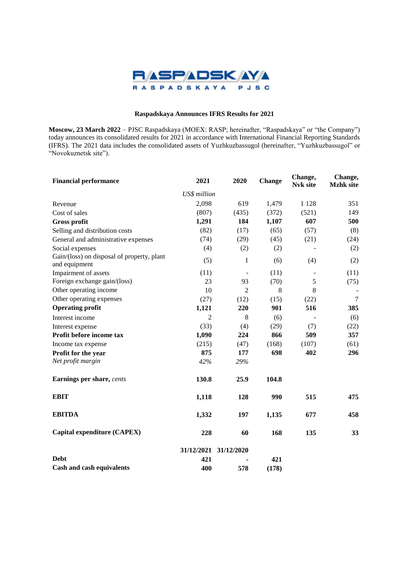

# **Raspadskaya Announces IFRS Results for 2021**

**Moscow, 23 March 2022** – PJSC Raspadskaya (MOEX: RASP; hereinafter, "Raspadskaya" or "the Company") today announces its consolidated results for 2021 in accordance with International Financial Reporting Standards (IFRS). The 2021 data includes the consolidated assets of Yuzhkuzbassugol (hereinafter, "Yuzhkuzbassugol" or "Novokuznetsk site").

| <b>Financial performance</b>                                | 2021           | 2020                  | <b>Change</b> | Change,<br><b>Nvk site</b> | Change,<br><b>Mzhk</b> site |  |
|-------------------------------------------------------------|----------------|-----------------------|---------------|----------------------------|-----------------------------|--|
|                                                             | US\$ million   |                       |               |                            |                             |  |
| Revenue                                                     | 2,098          | 619                   | 1,479         | 1 1 2 8                    | 351                         |  |
| Cost of sales                                               | (807)          | (435)                 | (372)         | (521)                      | 149                         |  |
| <b>Gross profit</b>                                         | 1,291          | 184                   | 1,107         | 607                        | 500                         |  |
| Selling and distribution costs                              | (82)           | (17)                  | (65)          | (57)                       | (8)                         |  |
| General and administrative expenses                         | (74)           | (29)                  | (45)          | (21)                       | (24)                        |  |
| Social expenses                                             | (4)            | (2)                   | (2)           |                            | (2)                         |  |
| Gain/(loss) on disposal of property, plant<br>and equipment | (5)            | 1                     | (6)           | (4)                        | (2)                         |  |
| Impairment of assets                                        | (11)           | $\blacksquare$        | (11)          |                            | (11)                        |  |
| Foreign exchange gain/(loss)                                | 23             | 93                    | (70)          | 5                          | (75)                        |  |
| Other operating income                                      | 10             | $\overline{2}$        | 8             | 8                          |                             |  |
| Other operating expenses                                    | (27)           | (12)                  | (15)          | (22)                       | 7                           |  |
| <b>Operating profit</b>                                     | 1,121          | 220                   | 901           | 516                        | 385                         |  |
| Interest income                                             | $\overline{c}$ | 8                     | (6)           |                            | (6)                         |  |
| Interest expense                                            | (33)           | (4)                   | (29)          | (7)                        | (22)                        |  |
| Profit before income tax                                    | 1,090          | 224                   | 866           | 509                        | 357                         |  |
| Income tax expense                                          | (215)          | (47)                  | (168)         | (107)                      | (61)                        |  |
| Profit for the year                                         | 875            | 177                   | 698           | 402                        | 296                         |  |
| Net profit margin                                           | 42%            | 29%                   |               |                            |                             |  |
| Earnings per share, cents                                   | 130.8          | 25.9                  | 104.8         |                            |                             |  |
| <b>EBIT</b>                                                 | 1,118          | 128                   | 990           | 515                        | 475                         |  |
| <b>EBITDA</b>                                               | 1,332          | 197                   | 1,135         | 677                        | 458                         |  |
| Capital expenditure (CAPEX)                                 | 228            | 60                    | 168           | 135                        | 33                          |  |
|                                                             |                | 31/12/2021 31/12/2020 |               |                            |                             |  |
| <b>Debt</b>                                                 | 421            |                       | 421           |                            |                             |  |
| Cash and cash equivalents                                   | 400            | 578                   | (178)         |                            |                             |  |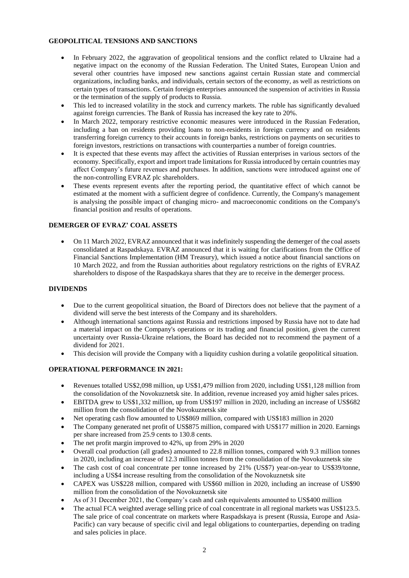# **GEOPOLITICAL TENSIONS AND SANCTIONS**

- In February 2022, the aggravation of geopolitical tensions and the conflict related to Ukraine had a negative impact on the economy of the Russian Federation. The United States, European Union and several other countries have imposed new sanctions against certain Russian state and commercial organizations, including banks, and individuals, certain sectors of the economy, as well as restrictions on certain types of transactions. Certain foreign enterprises announced the suspension of activities in Russia or the termination of the supply of products to Russia.
- This led to increased volatility in the stock and currency markets. The ruble has significantly devalued against foreign currencies. The Bank of Russia has increased the key rate to 20%.
- In March 2022, temporary restrictive economic measures were introduced in the Russian Federation, including a ban on residents providing loans to non-residents in foreign currency and on residents transferring foreign currency to their accounts in foreign banks, restrictions on payments on securities to foreign investors, restrictions on transactions with counterparties a number of foreign countries.
- It is expected that these events may affect the activities of Russian enterprises in various sectors of the economy. Specifically, export and import trade limitations for Russia introduced by certain countries may affect Company's future revenues and purchases. In addition, sanctions were introduced against one of the non-controlling EVRAZ plc shareholders.
- These events represent events after the reporting period, the quantitative effect of which cannot be estimated at the moment with a sufficient degree of confidence. Currently, the Company's management is analysing the possible impact of changing micro- and macroeconomic conditions on the Company's financial position and results of operations.

# **DEMERGER OF EVRAZ' COAL ASSETS**

• On 11 March 2022, EVRAZ announced that it was indefinitely suspending the demerger of the coal assets consolidated at Raspadskaya. EVRAZ announced that it is waiting for clarifications from the Office of Financial Sanctions Implementation (HM Treasury), which issued a notice about financial sanctions on 10 March 2022, and from the Russian authorities about regulatory restrictions on the rights of EVRAZ shareholders to dispose of the Raspadskaya shares that they are to receive in the demerger process.

### **DIVIDENDS**

- Due to the current geopolitical situation, the Board of Directors does not believe that the payment of a dividend will serve the best interests of the Company and its shareholders.
- Although international sanctions against Russia and restrictions imposed by Russia have not to date had a material impact on the Company's operations or its trading and financial position, given the current uncertainty over Russia-Ukraine relations, the Board has decided not to recommend the payment of a dividend for 2021.
- This decision will provide the Company with a liquidity cushion during a volatile geopolitical situation.

### **OPERATIONAL PERFORMANCE IN 2021:**

- Revenues totalled US\$2,098 million, up US\$1,479 million from 2020, including US\$1,128 million from the consolidation of the Novokuznetsk site. In addition, revenue increased yoy amid higher sales prices.
- EBITDA grew to US\$1,332 million, up from US\$197 million in 2020, including an increase of US\$682 million from the consolidation of the Novokuznetsk site
- Net operating cash flow amounted to US\$869 million, compared with US\$183 million in 2020
- The Company generated net profit of US\$875 million, compared with US\$177 million in 2020. Earnings per share increased from 25.9 cents to 130.8 cents.
- The net profit margin improved to 42%, up from 29% in 2020
- Overall coal production (all grades) amounted to 22.8 million tonnes, compared with 9.3 million tonnes in 2020, including an increase of 12.3 million tonnes from the consolidation of the Novokuznetsk site
- The cash cost of coal concentrate per tonne increased by 21% (US\$7) year-on-year to US\$39/tonne, including a US\$4 increase resulting from the consolidation of the Novokuznetsk site
- CAPEX was US\$228 million, compared with US\$60 million in 2020, including an increase of US\$90 million from the consolidation of the Novokuznetsk site
- As of 31 December 2021, the Company's cash and cash equivalents amounted to US\$400 million
- The actual FCA weighted average selling price of coal concentrate in all regional markets was US\$123.5. The sale price of coal concentrate on markets where Raspadskaya is present (Russia, Europe and Asia-Pacific) can vary because of specific civil and legal obligations to counterparties, depending on trading and sales policies in place.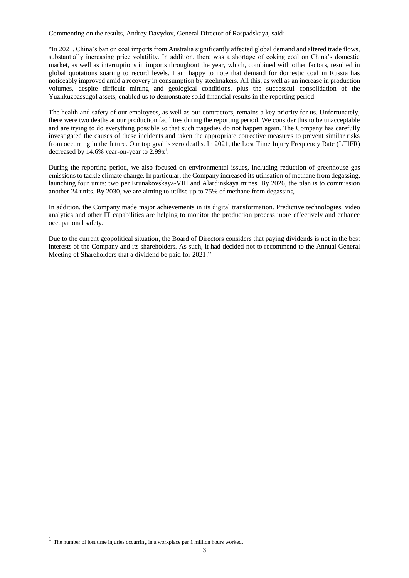Commenting on the results, Andrey Davydov, General Director of Raspadskaya, said:

"In 2021, China's ban on coal imports from Australia significantly affected global demand and altered trade flows, substantially increasing price volatility. In addition, there was a shortage of coking coal on China's domestic market, as well as interruptions in imports throughout the year, which, combined with other factors, resulted in global quotations soaring to record levels. I am happy to note that demand for domestic coal in Russia has noticeably improved amid a recovery in consumption by steelmakers. All this, as well as an increase in production volumes, despite difficult mining and geological conditions, plus the successful consolidation of the Yuzhkuzbassugol assets, enabled us to demonstrate solid financial results in the reporting period.

The health and safety of our employees, as well as our contractors, remains a key priority for us. Unfortunately, there were two deaths at our production facilities during the reporting period. We consider this to be unacceptable and are trying to do everything possible so that such tragedies do not happen again. The Company has carefully investigated the causes of these incidents and taken the appropriate corrective measures to prevent similar risks from occurring in the future. Our top goal is zero deaths. In 2021, the Lost Time Injury Frequency Rate (LTIFR) decreased by 14.6% year-on-year to  $2.99x<sup>1</sup>$ .

During the reporting period, we also focused on environmental issues, including reduction of greenhouse gas emissions to tackle climate change. In particular, the Company increased its utilisation of methane from degassing, launching four units: two per Erunakovskaya-VIII and Alardinskaya mines. By 2026, the plan is to commission another 24 units. By 2030, we are aiming to utilise up to 75% of methane from degassing.

In addition, the Company made major achievements in its digital transformation. Predictive technologies, video analytics and other IT capabilities are helping to monitor the production process more effectively and enhance occupational safety.

Due to the current geopolitical situation, the Board of Directors considers that paying dividends is not in the best interests of the Company and its shareholders. As such, it had decided not to recommend to the Annual General Meeting of Shareholders that a dividend be paid for 2021."

 $\overline{a}$ 

<sup>1</sup> The number of lost time injuries occurring in a workplace per 1 million hours worked.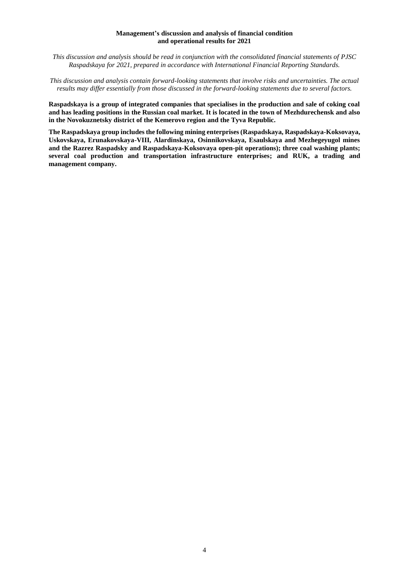### **Management's discussion and analysis of financial condition and operational results for 2021**

*This discussion and analysis should be read in conjunction with the consolidated financial statements of PJSC Raspadskaya for 2021, prepared in accordance with International Financial Reporting Standards.*

*This discussion and analysis contain forward-looking statements that involve risks and uncertainties. The actual results may differ essentially from those discussed in the forward-looking statements due to several factors.*

**Raspadskaya is a group of integrated companies that specialises in the production and sale of coking coal and has leading positions in the Russian coal market. It is located in the town of Mezhdurechensk and also in the Novokuznetsky district of the Kemerovo region and the Tyva Republic.**

**The Raspadskaya group includesthe following mining enterprises (Raspadskaya, Raspadskaya-Koksovaya, Uskovskaya, Erunakovskaya-VIII, Alardinskaya, Osinnikovskaya, Esaulskaya and Mezhegeyugol mines and the Razrez Raspadsky and Raspadskaya-Koksovaya open-pit operations); three coal washing plants; several coal production and transportation infrastructure enterprises; and RUK, a trading and management company.**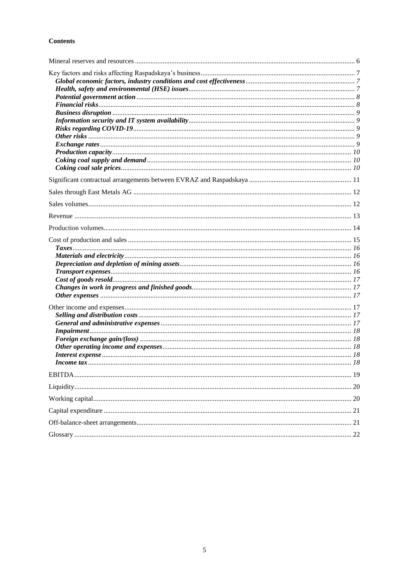# **Contents**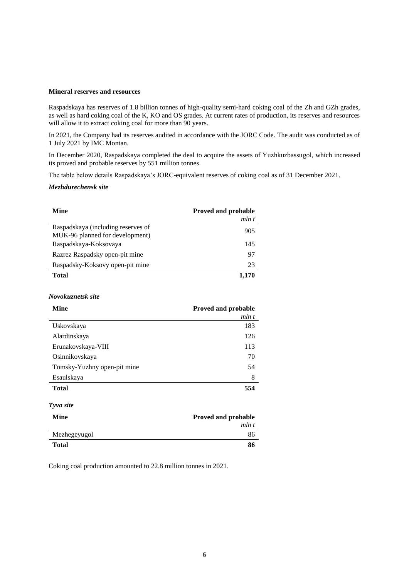#### **Mineral reserves and resources**

Raspadskaya has reserves of 1.8 billion tonnes of high-quality semi-hard coking coal of the Zh and GZh grades, as well as hard coking coal of the K, KO and OS grades. At current rates of production, its reserves and resources will allow it to extract coking coal for more than 90 years.

In 2021, the Company had its reserves audited in accordance with the JORC Code. The audit was conducted as of 1 July 2021 by IMC Montan.

In December 2020, Raspadskaya completed the deal to acquire the assets of Yuzhkuzbassugol, which increased its proved and probable reserves by 551 million tonnes.

The table below details Raspadskaya's JORC-equivalent reserves of coking coal as of 31 December 2021.

#### *Mezhdurechensk site*

| Mine                                                                  | <b>Proved and probable</b> |
|-----------------------------------------------------------------------|----------------------------|
|                                                                       | mln t                      |
| Raspadskaya (including reserves of<br>MUK-96 planned for development) | 905                        |
| Raspadskaya-Koksovaya                                                 | 145                        |
| Razrez Raspadsky open-pit mine                                        | 97                         |
| Raspadsky-Koksovy open-pit mine                                       | 23                         |
| Total                                                                 | 1.170                      |

#### *Novokuznetsk site*

| <b>Mine</b>                 | <b>Proved and probable</b> |  |  |  |
|-----------------------------|----------------------------|--|--|--|
|                             | mln t                      |  |  |  |
| Uskovskaya                  | 183                        |  |  |  |
| Alardinskaya                | 126                        |  |  |  |
| Erunakovskaya-VIII          | 113                        |  |  |  |
| Osinnikovskaya              | 70                         |  |  |  |
| Tomsky-Yuzhny open-pit mine | 54                         |  |  |  |
| Esaulskaya                  | 8                          |  |  |  |
| Total                       | 554                        |  |  |  |

# *Tyva site*

| Mine         | Proved and probable |
|--------------|---------------------|
|              | mln t               |
| Mezhegeyugol | 86                  |
| <b>Total</b> | 86                  |

Coking coal production amounted to 22.8 million tonnes in 2021.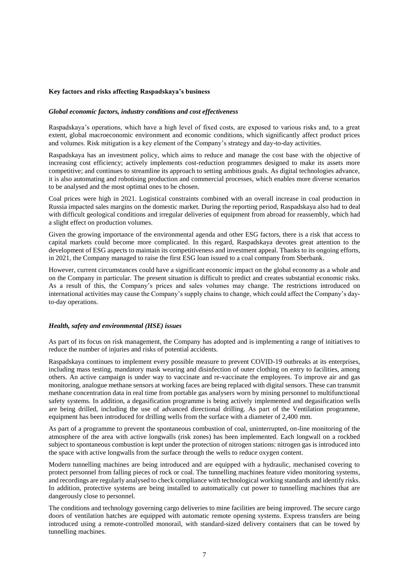### **Key factors and risks affecting Raspadskaya's business**

### *Global economic factors, industry conditions and cost effectiveness*

Raspadskaya's operations, which have a high level of fixed costs, are exposed to various risks and, to a great extent, global macroeconomic environment and economic conditions, which significantly affect product prices and volumes. Risk mitigation is a key element of the Company's strategy and day-to-day activities.

Raspadskaya has an investment policy, which aims to reduce and manage the cost base with the objective of increasing cost efficiency; actively implements cost-reduction programmes designed to make its assets more competitive; and continues to streamline its approach to setting ambitious goals. As digital technologies advance, it is also automating and robotising production and commercial processes, which enables more diverse scenarios to be analysed and the most optimal ones to be chosen.

Coal prices were high in 2021. Logistical constraints combined with an overall increase in coal production in Russia impacted sales margins on the domestic market. During the reporting period, Raspadskaya also had to deal with difficult geological conditions and irregular deliveries of equipment from abroad for reassembly, which had a slight effect on production volumes.

Given the growing importance of the environmental agenda and other ESG factors, there is a risk that access to capital markets could become more complicated. In this regard, Raspadskaya devotes great attention to the development of ESG aspects to maintain its competitiveness and investment appeal. Thanks to its ongoing efforts, in 2021, the Company managed to raise the first ESG loan issued to a coal company from Sberbank.

However, current circumstances could have a significant economic impact on the global economy as a whole and on the Company in particular. The present situation is difficult to predict and creates substantial economic risks. As a result of this, the Company's prices and sales volumes may change. The restrictions introduced on international activities may cause the Company's supply chains to change, which could affect the Company's dayto-day operations.

### *Health, safety and environmental (HSE) issues*

As part of its focus on risk management, the Company has adopted and is implementing a range of initiatives to reduce the number of injuries and risks of potential accidents.

Raspadskaya continues to implement every possible measure to prevent COVID-19 outbreaks at its enterprises, including mass testing, mandatory mask wearing and disinfection of outer clothing on entry to facilities, among others. An active campaign is under way to vaccinate and re-vaccinate the employees. To improve air and gas monitoring, analogue methane sensors at working faces are being replaced with digital sensors. These can transmit methane concentration data in real time from portable gas analysers worn by mining personnel to multifunctional safety systems. In addition, a degasification programme is being actively implemented and degasification wells are being drilled, including the use of advanced directional drilling. As part of the Ventilation programme, equipment has been introduced for drilling wells from the surface with a diameter of 2,400 mm.

As part of a programme to prevent the spontaneous combustion of coal, uninterrupted, on-line monitoring of the atmosphere of the area with active longwalls (risk zones) has been implemented. Each longwall on a rockbed subject to spontaneous combustion is kept under the protection of nitrogen stations: nitrogen gas is introduced into the space with active longwalls from the surface through the wells to reduce oxygen content.

Modern tunnelling machines are being introduced and are equipped with a hydraulic, mechanised covering to protect personnel from falling pieces of rock or coal. The tunnelling machines feature video monitoring systems, and recordings are regularly analysed to check compliance with technological working standards and identify risks. In addition, protective systems are being installed to automatically cut power to tunnelling machines that are dangerously close to personnel.

The conditions and technology governing cargo deliveries to mine facilities are being improved. The secure cargo doors of ventilation hatches are equipped with automatic remote opening systems. Express transfers are being introduced using a remote-controlled monorail, with standard-sized delivery containers that can be towed by tunnelling machines.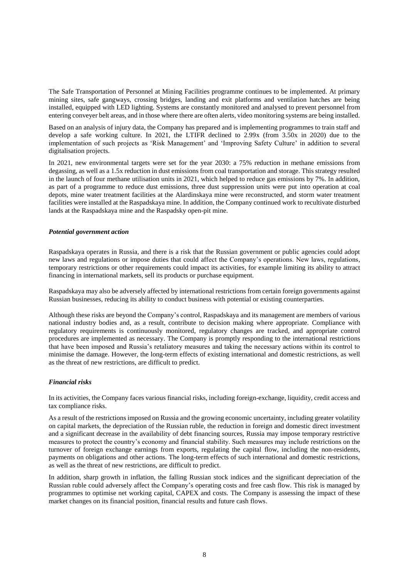The Safe Transportation of Personnel at Mining Facilities programme continues to be implemented. At primary mining sites, safe gangways, crossing bridges, landing and exit platforms and ventilation hatches are being installed, equipped with LED lighting. Systems are constantly monitored and analysed to prevent personnel from entering conveyer belt areas, and in those where there are often alerts, video monitoring systems are being installed.

Based on an analysis of injury data, the Company has prepared and is implementing programmes to train staff and develop a safe working culture. In 2021, the LTIFR declined to 2.99x (from 3.50x in 2020) due to the implementation of such projects as 'Risk Management' and 'Improving Safety Culture' in addition to several digitalisation projects.

In 2021, new environmental targets were set for the year 2030: a 75% reduction in methane emissions from degassing, as well as a 1.5x reduction in dust emissions from coal transportation and storage. This strategy resulted in the launch of four methane utilisation units in 2021, which helped to reduce gas emissions by 7%. In addition, as part of a programme to reduce dust emissions, three dust suppression units were put into operation at coal depots, mine water treatment facilities at the Alardinskaya mine were reconstructed, and storm water treatment facilities were installed at the Raspadskaya mine. In addition, the Company continued work to recultivate disturbed lands at the Raspadskaya mine and the Raspadsky open-pit mine.

### *Potential government action*

Raspadskaya operates in Russia, and there is a risk that the Russian government or public agencies could adopt new laws and regulations or impose duties that could affect the Company's operations. New laws, regulations, temporary restrictions or other requirements could impact its activities, for example limiting its ability to attract financing in international markets, sell its products or purchase equipment.

Raspadskaya may also be adversely affected by international restrictions from certain foreign governments against Russian businesses, reducing its ability to conduct business with potential or existing counterparties.

Although these risks are beyond the Company's control, Raspadskaya and its management are members of various national industry bodies and, as a result, contribute to decision making where appropriate. Compliance with regulatory requirements is continuously monitored, regulatory changes are tracked, and appropriate control procedures are implemented as necessary. The Company is promptly responding to the international restrictions that have been imposed and Russia's retaliatory measures and taking the necessary actions within its control to minimise the damage. However, the long-term effects of existing international and domestic restrictions, as well as the threat of new restrictions, are difficult to predict.

### *Financial risks*

In its activities, the Company faces various financial risks, including foreign-exchange, liquidity, credit access and tax compliance risks.

As a result of the restrictions imposed on Russia and the growing economic uncertainty, including greater volatility on capital markets, the depreciation of the Russian ruble, the reduction in foreign and domestic direct investment and a significant decrease in the availability of debt financing sources, Russia may impose temporary restrictive measures to protect the country's economy and financial stability. Such measures may include restrictions on the turnover of foreign exchange earnings from exports, regulating the capital flow, including the non-residents, payments on obligations and other actions. The long-term effects of such international and domestic restrictions, as well as the threat of new restrictions, are difficult to predict.

In addition, sharp growth in inflation, the falling Russian stock indices and the significant depreciation of the Russian ruble could adversely affect the Company's operating costs and free cash flow. This risk is managed by programmes to optimise net working capital, CAPEX and costs. The Company is assessing the impact of these market changes on its financial position, financial results and future cash flows.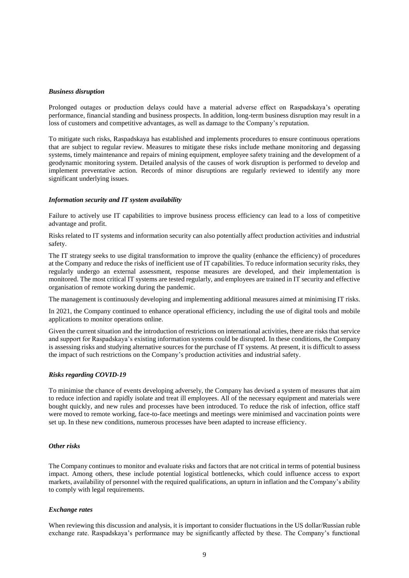### *Business disruption*

Prolonged outages or production delays could have a material adverse effect on Raspadskaya's operating performance, financial standing and business prospects. In addition, long-term business disruption may result in a loss of customers and competitive advantages, as well as damage to the Company's reputation.

To mitigate such risks, Raspadskaya has established and implements procedures to ensure continuous operations that are subject to regular review. Measures to mitigate these risks include methane monitoring and degassing systems, timely maintenance and repairs of mining equipment, employee safety training and the development of a geodynamic monitoring system. Detailed analysis of the causes of work disruption is performed to develop and implement preventative action. Records of minor disruptions are regularly reviewed to identify any more significant underlying issues.

### *Information security and IT system availability*

Failure to actively use IT capabilities to improve business process efficiency can lead to a loss of competitive advantage and profit.

Risks related to IT systems and information security can also potentially affect production activities and industrial safety.

The IT strategy seeks to use digital transformation to improve the quality (enhance the efficiency) of procedures at the Company and reduce the risks of inefficient use of IT capabilities. To reduce information security risks, they regularly undergo an external assessment, response measures are developed, and their implementation is monitored. The most critical IT systems are tested regularly, and employees are trained in IT security and effective organisation of remote working during the pandemic.

The management is continuously developing and implementing additional measures aimed at minimising IT risks.

In 2021, the Company continued to enhance operational efficiency, including the use of digital tools and mobile applications to monitor operations online.

Given the current situation and the introduction of restrictions on international activities, there are risks that service and support for Raspadskaya's existing information systems could be disrupted. In these conditions, the Company is assessing risks and studying alternative sources for the purchase of IT systems. At present, it is difficult to assess the impact of such restrictions on the Company's production activities and industrial safety.

#### *Risks regarding COVID-19*

To minimise the chance of events developing adversely, the Company has devised a system of measures that aim to reduce infection and rapidly isolate and treat ill employees. All of the necessary equipment and materials were bought quickly, and new rules and processes have been introduced. To reduce the risk of infection, office staff were moved to remote working, face-to-face meetings and meetings were minimised and vaccination points were set up. In these new conditions, numerous processes have been adapted to increase efficiency.

### *Other risks*

The Company continues to monitor and evaluate risks and factors that are not critical in terms of potential business impact. Among others, these include potential logistical bottlenecks, which could influence access to export markets, availability of personnel with the required qualifications, an upturn in inflation and the Company's ability to comply with legal requirements.

#### *Exchange rates*

When reviewing this discussion and analysis, it is important to consider fluctuations in the US dollar/Russian ruble exchange rate. Raspadskaya's performance may be significantly affected by these. The Company's functional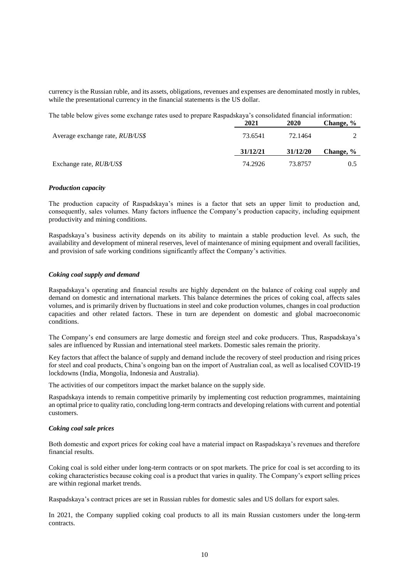currency is the Russian ruble, and its assets, obligations, revenues and expenses are denominated mostly in rubles, while the presentational currency in the financial statements is the US dollar.

The table below gives some exchange rates used to prepare Raspadskaya's consolidated financial information:

|                                        | 2021     | 2020     | Change, % |
|----------------------------------------|----------|----------|-----------|
| Average exchange rate, <i>RUB/US\$</i> | 73.6541  | 72.1464  |           |
|                                        | 31/12/21 | 31/12/20 | Change, % |
| Exchange rate, <i>RUB/US\$</i>         | 74.2926  | 73.8757  | 0.5       |

### *Production capacity*

The production capacity of Raspadskaya's mines is a factor that sets an upper limit to production and, consequently, sales volumes. Many factors influence the Company's production capacity, including equipment productivity and mining conditions.

Raspadskaya's business activity depends on its ability to maintain a stable production level. As such, the availability and development of mineral reserves, level of maintenance of mining equipment and overall facilities, and provision of safe working conditions significantly affect the Company's activities.

### *Coking coal supply and demand*

Raspadskaya's operating and financial results are highly dependent on the balance of coking coal supply and demand on domestic and international markets. This balance determines the prices of coking coal, affects sales volumes, and is primarily driven by fluctuations in steel and coke production volumes, changes in coal production capacities and other related factors. These in turn are dependent on domestic and global macroeconomic conditions.

The Company's end consumers are large domestic and foreign steel and coke producers. Thus, Raspadskaya's sales are influenced by Russian and international steel markets. Domestic sales remain the priority.

Key factors that affect the balance of supply and demand include the recovery of steel production and rising prices for steel and coal products, China's ongoing ban on the import of Australian coal, as well as localised COVID-19 lockdowns (India, Mongolia, Indonesia and Australia).

The activities of our competitors impact the market balance on the supply side.

Raspadskaya intends to remain competitive primarily by implementing cost reduction programmes, maintaining an optimal price to quality ratio, concluding long-term contracts and developing relations with current and potential customers.

#### *Coking coal sale prices*

Both domestic and export prices for coking coal have a material impact on Raspadskaya's revenues and therefore financial results.

Coking coal is sold either under long-term contracts or on spot markets. The price for coal is set according to its coking characteristics because coking coal is a product that varies in quality. The Company's export selling prices are within regional market trends.

Raspadskaya's contract prices are set in Russian rubles for domestic sales and US dollars for export sales.

In 2021, the Company supplied coking coal products to all its main Russian customers under the long-term contracts.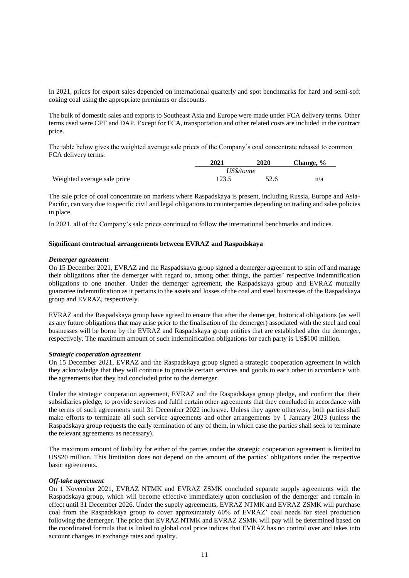In 2021, prices for export sales depended on international quarterly and spot benchmarks for hard and semi-soft coking coal using the appropriate premiums or discounts.

The bulk of domestic sales and exports to Southeast Asia and Europe were made under FCA delivery terms. Other terms used were CPT and DAP. Except for FCA, transportation and other related costs are included in the contract price.

The table below gives the weighted average sale prices of the Company's coal concentrate rebased to common FCA delivery terms:

|                             | 2021       | 2020 | Change, % |  |  |
|-----------------------------|------------|------|-----------|--|--|
|                             | US\$/tonne |      |           |  |  |
| Weighted average sale price | 123.5      | 52.6 | n/a       |  |  |

The sale price of coal concentrate on markets where Raspadskaya is present, including Russia, Europe and Asia-Pacific, can vary due to specific civil and legal obligations to counterparties depending on trading and sales policies in place.

In 2021, all of the Company's sale prices continued to follow the international benchmarks and indices.

### **Significant contractual arrangements between EVRAZ and Raspadskaya**

#### *Demerger agreement*

On 15 December 2021, EVRAZ and the Raspadskaya group signed a demerger agreement to spin off and manage their obligations after the demerger with regard to, among other things, the parties' respective indemnification obligations to one another. Under the demerger agreement, the Raspadskaya group and EVRAZ mutually guarantee indemnification as it pertains to the assets and losses of the coal and steel businesses of the Raspadskaya group and EVRAZ, respectively.

EVRAZ and the Raspadskaya group have agreed to ensure that after the demerger, historical obligations (as well as any future obligations that may arise prior to the finalisation of the demerger) associated with the steel and coal businesses will be borne by the EVRAZ and Raspadskaya group entities that are established after the demerger, respectively. The maximum amount of such indemnification obligations for each party is US\$100 million.

#### *Strategic cooperation agreement*

On 15 December 2021, EVRAZ and the Raspadskaya group signed a strategic cooperation agreement in which they acknowledge that they will continue to provide certain services and goods to each other in accordance with the agreements that they had concluded prior to the demerger.

Under the strategic cooperation agreement, EVRAZ and the Raspadskaya group pledge, and confirm that their subsidiaries pledge, to provide services and fulfil certain other agreements that they concluded in accordance with the terms of such agreements until 31 December 2022 inclusive. Unless they agree otherwise, both parties shall make efforts to terminate all such service agreements and other arrangements by 1 January 2023 (unless the Raspadskaya group requests the early termination of any of them, in which case the parties shall seek to terminate the relevant agreements as necessary).

The maximum amount of liability for either of the parties under the strategic cooperation agreement is limited to US\$20 million. This limitation does not depend on the amount of the parties' obligations under the respective basic agreements.

#### *Off-take agreement*

On 1 November 2021, EVRAZ NTMK and EVRAZ ZSMK concluded separate supply agreements with the Raspadskaya group, which will become effective immediately upon conclusion of the demerger and remain in effect until 31 December 2026. Under the supply agreements, EVRAZ NTMK and EVRAZ ZSMK will purchase coal from the Raspadskaya group to cover approximately 60% of EVRAZ' coal needs for steel production following the demerger. The price that EVRAZ NTMK and EVRAZ ZSMK will pay will be determined based on the coordinated formula that is linked to global coal price indices that EVRAZ has no control over and takes into account changes in exchange rates and quality.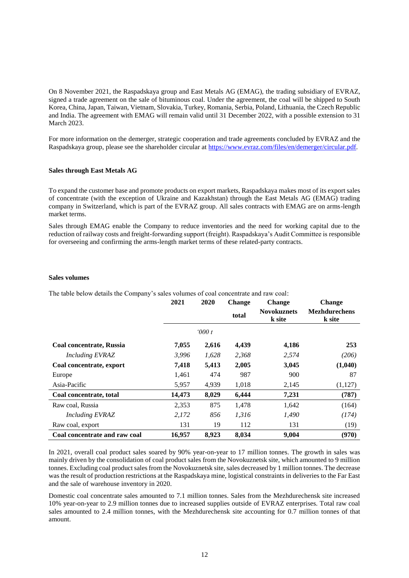On 8 November 2021, the Raspadskaya group and East Metals AG (EMAG), the trading subsidiary of EVRAZ, signed a trade agreement on the sale of bituminous coal. Under the agreement, the coal will be shipped to South Korea, China, Japan, Taiwan, Vietnam, Slovakia, Turkey, Romania, Serbia, Poland, Lithuania, the Czech Republic and India. The agreement with EMAG will remain valid until 31 December 2022, with a possible extension to 31 March 2023.

For more information on the demerger, strategic cooperation and trade agreements concluded by EVRAZ and the Raspadskaya group, please see the shareholder circular at [https://www.evraz.com/files/en/demerger/circular.pdf.](https://www.evraz.com/files/en/demerger/circular.pdf)

### **Sales through East Metals AG**

To expand the customer base and promote products on export markets, Raspadskaya makes most of its export sales of concentrate (with the exception of Ukraine and Kazakhstan) through the East Metals AG (EMAG) trading company in Switzerland, which is part of the EVRAZ group. All sales contracts with EMAG are on arms-length market terms.

Sales through EMAG enable the Company to reduce inventories and the need for working capital due to the reduction of railway costs and freight-forwarding support (freight). Raspadskaya's Audit Committee is responsible for overseeing and confirming the arms-length market terms of these related-party contracts.

### **Sales volumes**

The table below details the Company's sales volumes of coal concentrate and raw coal:

|                               | 2021   | 2020  | <b>Change</b> | <b>Change</b>                | <b>Change</b>                  |
|-------------------------------|--------|-------|---------------|------------------------------|--------------------------------|
|                               |        |       | total         | <b>Novokuznets</b><br>k site | <b>Mezhdurechens</b><br>k site |
|                               |        | 000t  |               |                              |                                |
| Coal concentrate, Russia      | 7,055  | 2,616 | 4,439         | 4,186                        | 253                            |
| Including EVRAZ               | 3,996  | 1,628 | 2,368         | 2,574                        | (206)                          |
| Coal concentrate, export      | 7,418  | 5,413 | 2,005         | 3,045                        | (1,040)                        |
| Europe                        | 1,461  | 474   | 987           | 900                          | 87                             |
| Asia-Pacific                  | 5,957  | 4,939 | 1,018         | 2,145                        | (1, 127)                       |
| Coal concentrate, total       | 14,473 | 8,029 | 6,444         | 7,231                        | (787)                          |
| Raw coal, Russia              | 2,353  | 875   | 1,478         | 1,642                        | (164)                          |
| <b>Including EVRAZ</b>        | 2,172  | 856   | 1,316         | 1,490                        | (174)                          |
| Raw coal, export              | 131    | 19    | 112           | 131                          | (19)                           |
| Coal concentrate and raw coal | 16,957 | 8.923 | 8.034         | 9.004                        | (970)                          |

In 2021, overall coal product sales soared by 90% year-on-year to 17 million tonnes. The growth in sales was mainly driven by the consolidation of coal product sales from the Novokuznetsk site, which amounted to 9 million tonnes. Excluding coal product sales from the Novokuznetsk site, sales decreased by 1 million tonnes. The decrease was the result of production restrictions at the Raspadskaya mine, logistical constraints in deliveries to the Far East and the sale of warehouse inventory in 2020.

Domestic coal concentrate sales amounted to 7.1 million tonnes. Sales from the Mezhdurechensk site increased 10% year-on-year to 2.9 million tonnes due to increased supplies outside of EVRAZ enterprises. Total raw coal sales amounted to 2.4 million tonnes, with the Mezhdurechensk site accounting for 0.7 million tonnes of that amount.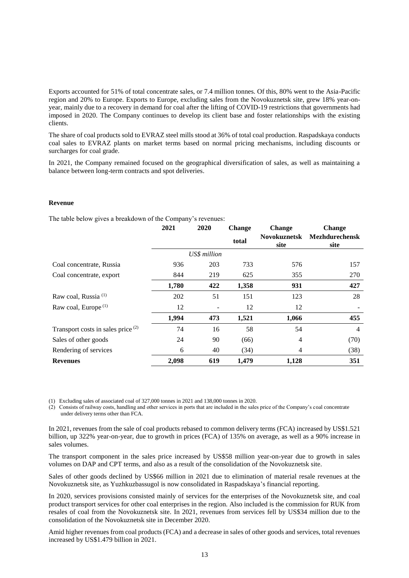Exports accounted for 51% of total concentrate sales, or 7.4 million tonnes. Of this, 80% went to the Asia-Pacific region and 20% to Europe. Exports to Europe, excluding sales from the Novokuznetsk site, grew 18% year-onyear, mainly due to a recovery in demand for coal after the lifting of COVID-19 restrictions that governments had imposed in 2020. The Company continues to develop its client base and foster relationships with the existing clients.

The share of coal products sold to EVRAZ steel mills stood at 36% of total coal production. Raspadskaya conducts coal sales to EVRAZ plants on market terms based on normal pricing mechanisms, including discounts or surcharges for coal grade.

In 2021, the Company remained focused on the geographical diversification of sales, as well as maintaining a balance between long-term contracts and spot deliveries.

#### **Revenue**

The table below gives a breakdown of the Company's revenues:

|                                               | 2021  | 2020         | <b>Change</b> | <b>Change</b>               | <b>Change</b>                 |
|-----------------------------------------------|-------|--------------|---------------|-----------------------------|-------------------------------|
|                                               |       |              | total         | <b>Novokuznetsk</b><br>site | <b>Mezhdurechensk</b><br>site |
|                                               |       | US\$ million |               |                             |                               |
| Coal concentrate, Russia                      | 936   | 203          | 733           | 576                         | 157                           |
| Coal concentrate, export                      | 844   | 219          | 625           | 355                         | 270                           |
|                                               | 1,780 | 422          | 1,358         | 931                         | 427                           |
| Raw coal, Russia <sup>(1)</sup>               | 202   | 51           | 151           | 123                         | 28                            |
| Raw coal, Europe <sup>(1)</sup>               | 12    |              | 12            | 12                          |                               |
|                                               | 1,994 | 473          | 1,521         | 1,066                       | 455                           |
| Transport costs in sales price <sup>(2)</sup> | 74    | 16           | 58            | 54                          | $\overline{4}$                |
| Sales of other goods                          | 24    | 90           | (66)          | 4                           | (70)                          |
| Rendering of services                         | 6     | 40           | (34)          | 4                           | (38)                          |
| <b>Revenues</b>                               | 2,098 | 619          | 1,479         | 1,128                       | 351                           |

(1) Excluding sales of associated coal of 327,000 tonnes in 2021 and 138,000 tonnes in 2020.

 (2) Consists of railway costs, handling and other services in ports that are included in the sales price of the Company's coal concentrate under delivery terms other than FCA.

In 2021, revenues from the sale of coal products rebased to common delivery terms (FCA) increased by US\$1.521 billion, up 322% year-on-year, due to growth in prices (FCA) of 135% on average, as well as a 90% increase in sales volumes.

The transport component in the sales price increased by US\$58 million year-on-year due to growth in sales volumes on DAP and CPT terms, and also as a result of the consolidation of the Novokuznetsk site.

Sales of other goods declined by US\$66 million in 2021 due to elimination of material resale revenues at the Novokuznetsk site, as Yuzhkuzbassugol is now consolidated in Raspadskaya's financial reporting.

In 2020, services provisions consisted mainly of services for the enterprises of the Novokuznetsk site, and coal product transport services for other coal enterprises in the region. Also included is the commission for RUK from resales of coal from the Novokuznetsk site. In 2021, revenues from services fell by US\$34 million due to the consolidation of the Novokuznetsk site in December 2020.

Amid higher revenues from coal products (FCA) and a decrease in sales of other goods and services, total revenues increased by US\$1.479 billion in 2021.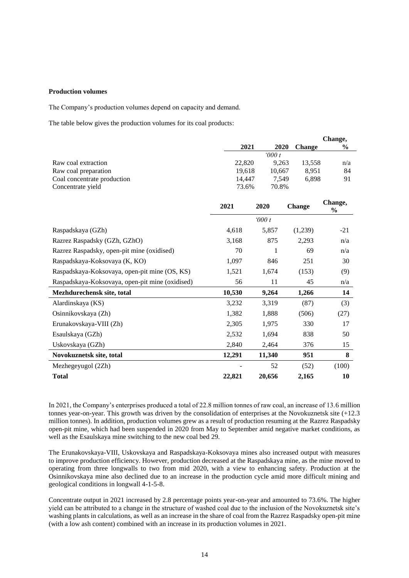### **Production volumes**

The Company's production volumes depend on capacity and demand.

The table below gives the production volumes for its coal products:

|                                                 |        |        |               | Change,                  |
|-------------------------------------------------|--------|--------|---------------|--------------------------|
|                                                 | 2021   | 2020   | <b>Change</b> | $\frac{6}{9}$            |
|                                                 |        | 000t   |               |                          |
| Raw coal extraction                             | 22,820 | 9,263  | 13,558        | n/a                      |
| Raw coal preparation                            | 19,618 | 10,667 | 8,951         | 84                       |
| Coal concentrate production                     | 14,447 | 7,549  | 6,898         | 91                       |
| Concentrate yield                               | 73.6%  | 70.8%  |               |                          |
|                                                 |        |        |               |                          |
|                                                 | 2021   | 2020   | <b>Change</b> | Change,<br>$\frac{6}{9}$ |
|                                                 |        | 000t   |               |                          |
| Raspadskaya (GZh)                               | 4,618  | 5,857  | (1,239)       | $-21$                    |
| Razrez Raspadsky (GZh, GZhO)                    | 3,168  | 875    | 2,293         | n/a                      |
| Razrez Raspadsky, open-pit mine (oxidised)      | 70     | 1      | 69            | n/a                      |
| Raspadskaya-Koksovaya (K, KO)                   | 1,097  | 846    | 251           | 30                       |
| Raspadskaya-Koksovaya, open-pit mine (OS, KS)   | 1,521  | 1,674  | (153)         | (9)                      |
| Raspadskaya-Koksovaya, open-pit mine (oxidised) | 56     | 11     | 45            | n/a                      |
| Mezhdurechensk site, total                      | 10,530 | 9,264  | 1,266         | 14                       |
| Alardinskaya (KS)                               | 3,232  | 3,319  | (87)          | (3)                      |
| Osinnikovskaya (Zh)                             | 1,382  | 1,888  | (506)         | (27)                     |
| Erunakovskaya-VIII (Zh)                         | 2,305  | 1,975  | 330           | 17                       |
| Esaulskaya (GZh)                                | 2,532  | 1,694  | 838           | 50                       |
| Uskovskaya (GZh)                                | 2,840  | 2,464  | 376           | 15                       |
| Novokuznetsk site, total                        | 12,291 | 11,340 | 951           | 8                        |
| Mezhegeyugol (2Zh)                              |        | 52     | (52)          | (100)                    |
| <b>Total</b>                                    | 22,821 | 20,656 | 2,165         | 10                       |

In 2021, the Company's enterprises produced a total of 22.8 million tonnes of raw coal, an increase of 13.6 million tonnes year-on-year. This growth was driven by the consolidation of enterprises at the Novokuznetsk site (+12.3 million tonnes). In addition, production volumes grew as a result of production resuming at the Razrez Raspadsky open-pit mine, which had been suspended in 2020 from May to September amid negative market conditions, as well as the Esaulskaya mine switching to the new coal bed 29.

The Erunakovskaya-VIII, Uskovskaya and Raspadskaya-Koksovaya mines also increased output with measures to improve production efficiency. However, production decreased at the Raspadskaya mine, as the mine moved to operating from three longwalls to two from mid 2020, with a view to enhancing safety. Production at the Osinnikovskaya mine also declined due to an increase in the production cycle amid more difficult mining and geological conditions in longwall 4-1-5-8.

Concentrate output in 2021 increased by 2.8 percentage points year-on-year and amounted to 73.6%. The higher yield can be attributed to a change in the structure of washed coal due to the inclusion of the Novokuznetsk site's washing plants in calculations, as well as an increase in the share of coal from the Razrez Raspadsky open-pit mine (with a low ash content) combined with an increase in its production volumes in 2021.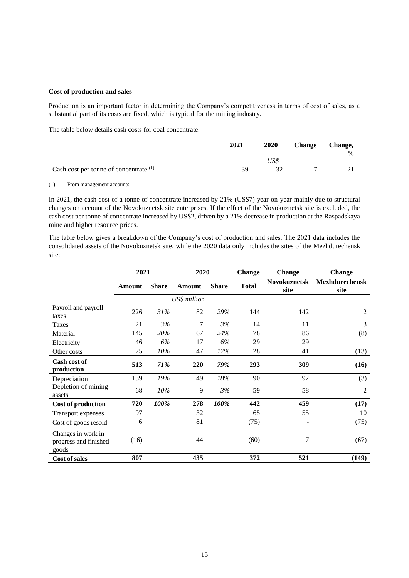### **Cost of production and sales**

Production is an important factor in determining the Company's competitiveness in terms of cost of sales, as a substantial part of its costs are fixed, which is typical for the mining industry.

The table below details cash costs for coal concentrate:

|                                                   | 2021 | 2020 | <b>Change</b> | Change,<br>$\frac{0}{0}$ |
|---------------------------------------------------|------|------|---------------|--------------------------|
|                                                   |      | USS  |               |                          |
| Cash cost per tonne of concentrate <sup>(1)</sup> | 39   |      |               |                          |

(1) From management accounts

In 2021, the cash cost of a tonne of concentrate increased by 21% (US\$7) year-on-year mainly due to structural changes on account of the Novokuznetsk site enterprises. If the effect of the Novokuznetsk site is excluded, the cash cost per tonne of concentrate increased by US\$2, driven by a 21% decrease in production at the Raspadskaya mine and higher resource prices.

The table below gives a breakdown of the Company's cost of production and sales. The 2021 data includes the consolidated assets of the Novokuznetsk site, while the 2020 data only includes the sites of the Mezhdurechensk site:

|                                                      | 2021   |              | 2020         |              | <b>Change</b> | <b>Change</b>               | <b>Change</b>                 |
|------------------------------------------------------|--------|--------------|--------------|--------------|---------------|-----------------------------|-------------------------------|
|                                                      | Amount | <b>Share</b> | Amount       | <b>Share</b> | <b>Total</b>  | <b>Novokuznetsk</b><br>site | <b>Mezhdurechensk</b><br>site |
|                                                      |        |              | US\$ million |              |               |                             |                               |
| Payroll and payroll<br>taxes                         | 226    | 31%          | 82           | 29%          | 144           | 142                         | 2                             |
| Taxes                                                | 21     | 3%           | 7            | 3%           | 14            | 11                          | 3                             |
| Material                                             | 145    | 20%          | 67           | 24%          | 78            | 86                          | (8)                           |
| Electricity                                          | 46     | 6%           | 17           | 6%           | 29            | 29                          |                               |
| Other costs                                          | 75     | 10%          | 47           | 17%          | 28            | 41                          | (13)                          |
| Cash cost of<br>production                           | 513    | 71%          | 220          | 79%          | 293           | 309                         | (16)                          |
| Depreciation                                         | 139    | 19%          | 49           | 18%          | 90            | 92                          | (3)                           |
| Depletion of mining<br>assets                        | 68     | 10%          | 9            | 3%           | 59            | 58                          | $\overline{2}$                |
| <b>Cost of production</b>                            | 720    | 100%         | 278          | 100%         | 442           | 459                         | (17)                          |
| <b>Transport expenses</b>                            | 97     |              | 32           |              | 65            | 55                          | 10                            |
| Cost of goods resold                                 | 6      |              | 81           |              | (75)          |                             | (75)                          |
| Changes in work in<br>progress and finished<br>goods | (16)   |              | 44           |              | (60)          | 7                           | (67)                          |
| <b>Cost of sales</b>                                 | 807    |              | 435          |              | 372           | 521                         | (149)                         |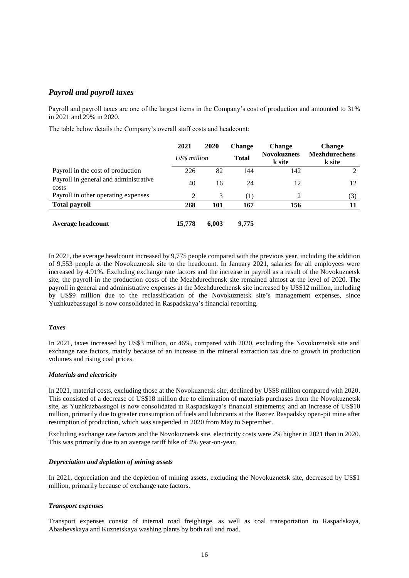# *Payroll and payroll taxes*

Payroll and payroll taxes are one of the largest items in the Company's cost of production and amounted to 31% in 2021 and 29% in 2020.

The table below details the Company's overall staff costs and headcount:

|                                                | 2021         | 2020  | <b>Change</b>    | <b>Change</b>                | <b>Change</b>                  |  |
|------------------------------------------------|--------------|-------|------------------|------------------------------|--------------------------------|--|
|                                                | US\$ million |       | <b>Total</b>     | <b>Novokuznets</b><br>k site | <b>Mezhdurechens</b><br>k site |  |
| Payroll in the cost of production              | 226          | 82    | 144              | 142                          |                                |  |
| Payroll in general and administrative<br>costs | 40           | 16    | 24               | 12                           | 12                             |  |
| Payroll in other operating expenses            | 2            | 3     | $\left(1\right)$ | 2                            | (3)                            |  |
| <b>Total payroll</b>                           | 268          | 101   | 167              | 156                          |                                |  |
| Average headcount                              | 15,778       | 6.003 | 9.775            |                              |                                |  |

In 2021, the average headcount increased by 9,775 people compared with the previous year, including the addition of 9,553 people at the Novokuznetsk site to the headcount. In January 2021, salaries for all employees were increased by 4.91%. Excluding exchange rate factors and the increase in payroll as a result of the Novokuznetsk site, the payroll in the production costs of the Mezhdurechensk site remained almost at the level of 2020. The payroll in general and administrative expenses at the Mezhdurechensk site increased by US\$12 million, including by US\$9 million due to the reclassification of the Novokuznetsk site's management expenses, since Yuzhkuzbassugol is now consolidated in Raspadskaya's financial reporting.

### *Taxes*

In 2021, taxes increased by US\$3 million, or 46%, compared with 2020, excluding the Novokuznetsk site and exchange rate factors, mainly because of an increase in the mineral extraction tax due to growth in production volumes and rising coal prices.

#### *Materials and electricity*

In 2021, material costs, excluding those at the Novokuznetsk site, declined by US\$8 million compared with 2020. This consisted of a decrease of US\$18 million due to elimination of materials purchases from the Novokuznetsk site, as Yuzhkuzbassugol is now consolidated in Raspadskaya's financial statements; and an increase of US\$10 million, primarily due to greater consumption of fuels and lubricants at the Razrez Raspadsky open-pit mine after resumption of production, which was suspended in 2020 from May to September.

Excluding exchange rate factors and the Novokuznetsk site, electricity costs were 2% higher in 2021 than in 2020. This was primarily due to an average tariff hike of 4% year-on-year.

#### *Depreciation and depletion of mining assets*

In 2021, depreciation and the depletion of mining assets, excluding the Novokuznetsk site, decreased by US\$1 million, primarily because of exchange rate factors.

#### *Transport expenses*

Transport expenses consist of internal road freightage, as well as coal transportation to Raspadskaya, Abashevskaya and Kuznetskaya washing plants by both rail and road.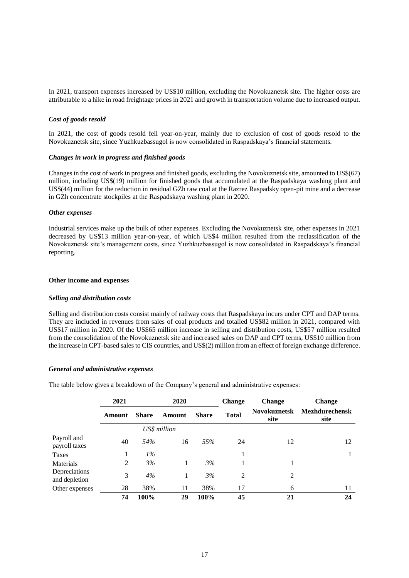In 2021, transport expenses increased by US\$10 million, excluding the Novokuznetsk site. The higher costs are attributable to a hike in road freightage prices in 2021 and growth in transportation volume due to increased output.

### *Cost of goods resold*

In 2021, the cost of goods resold fell year-on-year, mainly due to exclusion of cost of goods resold to the Novokuznetsk site, since Yuzhkuzbassugol is now consolidated in Raspadskaya's financial statements.

#### *Changes in work in progress and finished goods*

Changes in the cost of work in progress and finished goods, excluding the Novokuznetsk site, amounted to US\$(67) million, including US\$(19) million for finished goods that accumulated at the Raspadskaya washing plant and US\$(44) million for the reduction in residual GZh raw coal at the Razrez Raspadsky open-pit mine and a decrease in GZh concentrate stockpiles at the Raspadskaya washing plant in 2020.

#### *Other expenses*

Industrial services make up the bulk of other expenses. Excluding the Novokuznetsk site, other expenses in 2021 decreased by US\$13 million year-on-year, of which US\$4 million resulted from the reclassification of the Novokuznetsk site's management costs, since Yuzhkuzbassugol is now consolidated in Raspadskaya's financial reporting.

#### **Other income and expenses**

#### *Selling and distribution costs*

Selling and distribution costs consist mainly of railway costs that Raspadskaya incurs under CPT and DAP terms. They are included in revenues from sales of coal products and totalled US\$82 million in 2021, compared with US\$17 million in 2020. Of the US\$65 million increase in selling and distribution costs, US\$57 million resulted from the consolidation of the Novokuznetsk site and increased sales on DAP and CPT terms, US\$10 million from the increase in CPT-based sales to CIS countries, and US\$(2) million from an effect of foreign exchange difference.

#### *General and administrative expenses*

The table below gives a breakdown of the Company's general and administrative expenses:

|                                | 2021   |              | 2020                   |      | <b>Change</b> | <b>Change</b>               | <b>Change</b>                 |  |
|--------------------------------|--------|--------------|------------------------|------|---------------|-----------------------------|-------------------------------|--|
|                                | Amount | <b>Share</b> | <b>Share</b><br>Amount |      | <b>Total</b>  | <b>Novokuznetsk</b><br>site | <b>Mezhdurechensk</b><br>site |  |
|                                |        |              | US\$ million           |      |               |                             |                               |  |
| Payroll and<br>payroll taxes   | 40     | 54%          | 16                     | 55%  | 24            | 12                          | 12                            |  |
| Taxes                          | 1      | $1\%$        |                        |      |               |                             | л.                            |  |
| Materials                      | 2      | 3%           |                        | 3%   |               |                             |                               |  |
| Depreciations<br>and depletion | 3      | 4%           | 1                      | 3%   | 2             | 2                           |                               |  |
| Other expenses                 | 28     | 38%          | 11                     | 38%  | 17            | 6                           | 11                            |  |
|                                | 74     | 100%         | 29                     | 100% | 45            | 21                          | 24                            |  |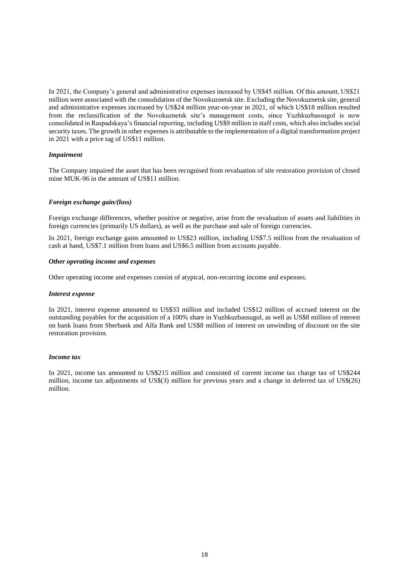In 2021, the Company's general and administrative expenses increased by US\$45 million. Of this amount, US\$21 million were associated with the consolidation of the Novokuznetsk site. Excluding the Novokuznetsk site, general and administrative expenses increased by US\$24 million year-on-year in 2021, of which US\$18 million resulted from the reclassification of the Novokuznetsk site's management costs, since Yuzhkuzbassugol is now consolidated in Raspadskaya's financial reporting, including US\$9 million in staff costs, which also includes social security taxes. The growth in other expenses is attributable to the implementation of a digital transformation project in 2021 with a price tag of US\$11 million.

### *Impairment*

The Company impaired the asset that has been recognised from revaluation of site restoration provision of closed mine MUK-96 in the amount of US\$11 million.

### *Foreign exchange gain/(loss)*

Foreign exchange differences, whether positive or negative, arise from the revaluation of assets and liabilities in foreign currencies (primarily US dollars), as well as the purchase and sale of foreign currencies.

In 2021, foreign exchange gains amounted to US\$23 million, including US\$7.5 million from the revaluation of cash at hand, US\$7.1 million from loans and US\$6.5 million from accounts payable.

#### *Other operating income and expenses*

Other operating income and expenses consist of atypical, non-recurring income and expenses.

#### *Interest expense*

In 2021, interest expense amounted to US\$33 million and included US\$12 million of accrued interest on the outstanding payables for the acquisition of a 100% share in Yuzhkuzbassugol, as well as US\$8 million of interest on bank loans from Sberbank and Alfa Bank and US\$8 million of interest on unwinding of discount on the site restoration provision.

#### *Income tax*

In 2021, income tax amounted to US\$215 million and consisted of current income tax charge tax of US\$244 million, income tax adjustments of US\$(3) million for previous years and a change in deferred tax of US\$(26) million.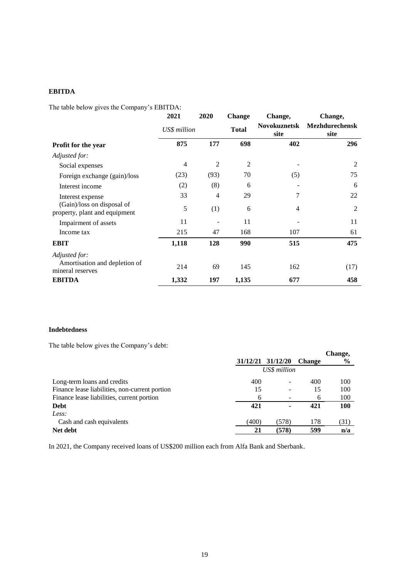# **EBITDA**

The table below gives the Company's EBITDA:

|                                                                    | 2021           | 2020<br><b>Change</b> |                | Change,                     | Change,                       |  |
|--------------------------------------------------------------------|----------------|-----------------------|----------------|-----------------------------|-------------------------------|--|
|                                                                    | US\$ million   |                       | <b>Total</b>   | <b>Novokuznetsk</b><br>site | <b>Mezhdurechensk</b><br>site |  |
| Profit for the year                                                | 875            | 177                   | 698            | 402                         | 296                           |  |
| Adjusted for:                                                      |                |                       |                |                             |                               |  |
| Social expenses                                                    | $\overline{4}$ | 2                     | $\overline{2}$ |                             | 2                             |  |
| Foreign exchange (gain)/loss                                       | (23)           | (93)                  | 70             | (5)                         | 75                            |  |
| Interest income                                                    | (2)            | (8)                   | 6              |                             | 6                             |  |
| Interest expense                                                   | 33             | 4                     | 29             | 7                           | 22                            |  |
| (Gain)/loss on disposal of<br>property, plant and equipment        | 5              | (1)                   | 6              | $\overline{4}$              | $\overline{2}$                |  |
| Impairment of assets                                               | 11             |                       | 11             |                             | 11                            |  |
| Income tax                                                         | 215            | 47                    | 168            | 107                         | 61                            |  |
| <b>EBIT</b>                                                        | 1,118          | 128                   | 990            | 515                         | 475                           |  |
| Adjusted for:<br>Amortisation and depletion of<br>mineral reserves | 214            | 69                    | 145            | 162                         | (17)                          |  |
| <b>EBITDA</b>                                                      | 1,332          | 197                   | 1,135          | 677                         | 458                           |  |

## **Indebtedness**

The table below gives the Company's debt:

| The those below $\mathbb{R}^{1}$ of the company $\beta$ access |              | 31/12/21 31/12/20 | <b>Change</b> | Change,<br>$\frac{0}{0}$ |
|----------------------------------------------------------------|--------------|-------------------|---------------|--------------------------|
|                                                                | US\$ million |                   |               |                          |
| Long-term loans and credits                                    | 400          | -                 | 400           | 100                      |
| Finance lease liabilities, non-current portion                 | 15           | -                 | 15            | 100                      |
| Finance lease liabilities, current portion                     | 6            |                   | 6             | 100                      |
| <b>Debt</b>                                                    | 421          | ۰                 | 421           | 100                      |
| Less:                                                          |              |                   |               |                          |
| Cash and cash equivalents                                      | (400)        | (578)             | 178           | (31)                     |
| Net debt                                                       | 21           | (578)             | 599           | n/a                      |

In 2021, the Company received loans of US\$200 million each from Alfa Bank and Sberbank.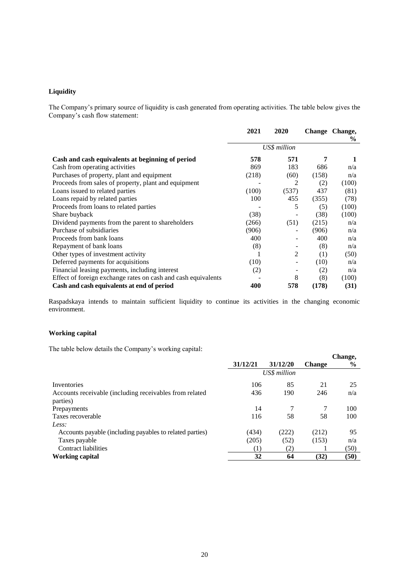# **Liquidity**

The Company's primary source of liquidity is cash generated from operating activities. The table below gives the Company's cash flow statement:

|                                                               | 2021         | 2020  |       | Change Change,<br>$\%$ |
|---------------------------------------------------------------|--------------|-------|-------|------------------------|
|                                                               | US\$ million |       |       |                        |
| Cash and cash equivalents at beginning of period              | 578          | 571   | 7     |                        |
| Cash from operating activities                                | 869          | 183   | 686   | n/a                    |
| Purchases of property, plant and equipment                    | (218)        | (60)  | (158) | n/a                    |
| Proceeds from sales of property, plant and equipment          |              | 2     | (2)   | (100)                  |
| Loans issued to related parties                               | (100)        | (537) | 437   | (81)                   |
| Loans repaid by related parties                               | 100          | 455   | (355) | (78)                   |
| Proceeds from loans to related parties                        |              | 5     | (5)   | (100)                  |
| Share buyback                                                 | (38)         |       | (38)  | (100)                  |
| Dividend payments from the parent to shareholders             | (266)        | (51)  | (215) | n/a                    |
| Purchase of subsidiaries                                      | (906)        |       | (906) | n/a                    |
| Proceeds from bank loans                                      | 400          |       | 400   | n/a                    |
| Repayment of bank loans                                       | (8)          |       | (8)   | n/a                    |
| Other types of investment activity                            | -1           | 2     | (1)   | (50)                   |
| Deferred payments for acquisitions                            | (10)         |       | (10)  | n/a                    |
| Financial leasing payments, including interest                | (2)          |       | (2)   | n/a                    |
| Effect of foreign exchange rates on cash and cash equivalents |              | 8     | (8)   | (100)                  |
| Cash and cash equivalents at end of period                    | 400          | 578   | (178) | (31)                   |

Raspadskaya intends to maintain sufficient liquidity to continue its activities in the changing economic environment.

# **Working capital**

The table below details the Company's working capital:

| ┙                                                        |                  |          |               | Change,       |
|----------------------------------------------------------|------------------|----------|---------------|---------------|
|                                                          | 31/12/21         | 31/12/20 | <b>Change</b> | $\frac{0}{0}$ |
|                                                          | US\$ million     |          |               |               |
| Inventories                                              | 106              | 85       | 21            | 25            |
| Accounts receivable (including receivables from related  | 436              | 190      | 246           | n/a           |
| parties)                                                 |                  |          |               |               |
| Prepayments                                              | 14               |          | 7             | 100           |
| Taxes recoverable                                        | 116              | 58       | 58            | 100           |
| Less:                                                    |                  |          |               |               |
| Accounts payable (including payables to related parties) | (434)            | (222)    | (212)         | 95            |
| Taxes payable                                            | (205)            | (52)     | (153)         | n/a           |
| <b>Contract liabilities</b>                              | $\left(1\right)$ | (2)      |               | (50)          |
| Working capital                                          | 32               | 64       | (32)          | (50)          |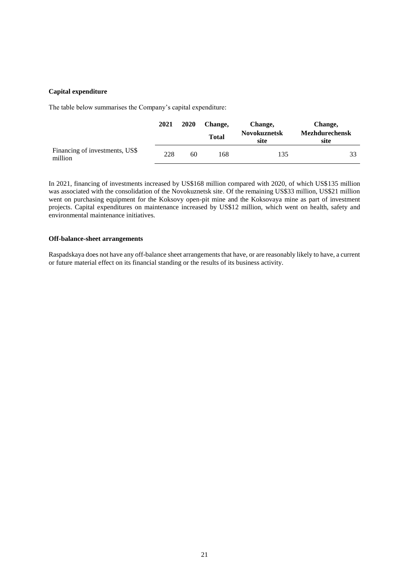### **Capital expenditure**

The table below summarises the Company's capital expenditure:

|                                           | 2021 | 2020 | Change,      | Change,                     | Change,                       |
|-------------------------------------------|------|------|--------------|-----------------------------|-------------------------------|
|                                           |      |      | <b>Total</b> | <b>Novokuznetsk</b><br>site | <b>Mezhdurechensk</b><br>site |
| Financing of investments, US\$<br>million | 228  | 60   | 168          | 135                         | 33                            |

In 2021, financing of investments increased by US\$168 million compared with 2020, of which US\$135 million was associated with the consolidation of the Novokuznetsk site. Of the remaining US\$33 million, US\$21 million went on purchasing equipment for the Koksovy open-pit mine and the Koksovaya mine as part of investment projects. Capital expenditures on maintenance increased by US\$12 million, which went on health, safety and environmental maintenance initiatives.

### **Off-balance-sheet arrangements**

Raspadskaya does not have any off-balance sheet arrangements that have, or are reasonably likely to have, a current or future material effect on its financial standing or the results of its business activity.